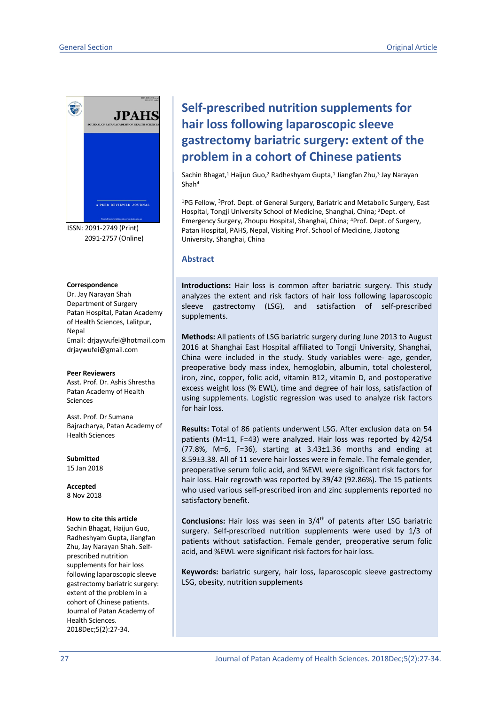

ISSN: 2091-2749 (Print) 2091-2757 (Online)

#### **Correspondence**

Dr. Jay Narayan Shah Department of Surgery Patan Hospital, Patan Academy of Health Sciences, Lalitpur, **Nepal** Email: drjaywufei@hotmail.com drjaywufei@gmail.com

#### **Peer Reviewers**

Asst. Prof. Dr. Ashis Shrestha Patan Academy of Health Sciences

Asst. Prof. Dr Sumana Bajracharya, Patan Academy of Health Sciences

**Submitted** 15 Jan 2018

**Accepted** 8 Nov 2018

#### **How to cite this article**

Sachin Bhagat, Haijun Guo, Radheshyam Gupta, Jiangfan Zhu, Jay Narayan Shah. Selfprescribed nutrition supplements for hair loss following laparoscopic sleeve gastrectomy bariatric surgery: extent of the problem in a cohort of Chinese patients. Journal of Patan Academy of Health Sciences. 2018Dec;5(2):27-34.

# **Self-prescribed nutrition supplements for hair loss following laparoscopic sleeve gastrectomy bariatric surgery: extent of the problem in a cohort of Chinese patients**

Sachin Bhagat,<sup>1</sup> Haijun Guo,<sup>2</sup> Radheshyam Gupta,<sup>1</sup> Jiangfan Zhu,<sup>3</sup> Jay Narayan Shah4

1PG Fellow, 3Prof. Dept. of General Surgery, Bariatric and Metabolic Surgery, East Hospital, Tongji University School of Medicine, Shanghai, China; 2Dept. of Emergency Surgery, Zhoupu Hospital, Shanghai, China; 4Prof. Dept. of Surgery, Patan Hospital, PAHS, Nepal, Visiting Prof. School of Medicine, Jiaotong University, Shanghai, China

#### **Abstract**

**Introductions:** Hair loss is common after bariatric surgery. This study analyzes the extent and risk factors of hair loss following laparoscopic sleeve gastrectomy (LSG), and satisfaction of self-prescribed supplements.

**Methods:** All patients of LSG bariatric surgery during June 2013 to August 2016 at Shanghai East Hospital affiliated to Tongji University, Shanghai, China were included in the study. Study variables were- age, gender, preoperative body mass index, hemoglobin, albumin, total cholesterol, iron, zinc, copper, folic acid, vitamin B12, vitamin D, and postoperative excess weight loss (% EWL), time and degree of hair loss, satisfaction of using supplements. Logistic regression was used to analyze risk factors for hair loss.

**Results:** Total of 86 patients underwent LSG. After exclusion data on 54 patients (M=11, F=43) were analyzed. Hair loss was reported by 42/54 (77.8%, M=6, F=36), starting at 3.43±1.36 months and ending at 8.59±3.38. All of 11 severe hair losses were in female. The female gender, preoperative serum folic acid, and %EWL were significant risk factors for hair loss. Hair regrowth was reported by 39/42 (92.86%). The 15 patients who used various self-prescribed iron and zinc supplements reported no satisfactory benefit.

Conclusions: Hair loss was seen in 3/4<sup>th</sup> of patents after LSG bariatric surgery. Self-prescribed nutrition supplements were used by 1/3 of patients without satisfaction. Female gender, preoperative serum folic acid, and %EWL were significant risk factors for hair loss.

**Keywords:** bariatric surgery, hair loss, laparoscopic sleeve gastrectomy LSG, obesity, nutrition supplements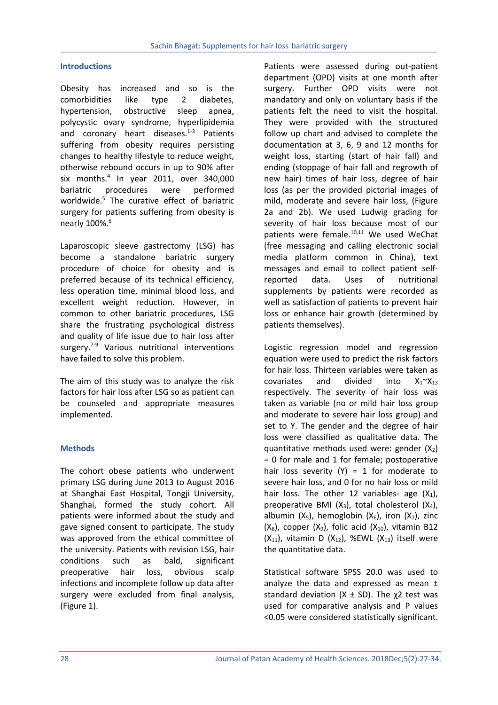# **Introductions**

Obesity has increased and so is the comorbidities like type 2 diabetes, hypertension, obstructive sleep apnea, polycystic ovary syndrome, hyperlipidemia and coronary heart diseases. $1-3$  Patients suffering from obesity requires persisting changes to healthy lifestyle to reduce weight, otherwise rebound occurs in up to 90% after six months.<sup>4</sup> In year 2011, over 340,000 bariatric procedures were performed worldwide.<sup>5</sup> The curative effect of bariatric surgery for patients suffering from obesity is nearly 100%. 6

Laparoscopic sleeve gastrectomy (LSG) has become a standalone bariatric surgery procedure of choice for obesity and is preferred because of its technical efficiency, less operation time, minimal blood loss, and excellent weight reduction. However, in common to other bariatric procedures, LSG share the frustrating psychological distress and quality of life issue due to hair loss after surgery.<sup>7-9</sup> Various nutritional interventions have failed to solve this problem.

The aim of this study was to analyze the risk factors for hair loss after LSG so as patient can be counseled and appropriate measures implemented.

# **Methods**

The cohort obese patients who underwent primary LSG during June 2013 to August 2016 at Shanghai East Hospital, Tongji University, Shanghai, formed the study cohort. All patients were informed about the study and gave signed consent to participate. The study was approved from the ethical committee of the university. Patients with revision LSG, hair conditions such as bald, significant preoperative hair loss, obvious scalp infections and incomplete follow up data after surgery were excluded from final analysis, (Figure 1).

Patients were assessed during out-patient department (OPD) visits at one month after surgery. Further OPD visits were not mandatory and only on voluntary basis if the patients felt the need to visit the hospital. They were provided with the structured follow up chart and advised to complete the documentation at 3, 6, 9 and 12 months for weight loss, starting (start of hair fall) and ending (stoppage of hair fall and regrowth of new hair) times of hair loss, degree of hair loss (as per the provided pictorial images of mild, moderate and severe hair loss, (Figure 2a and 2b). We used Ludwig grading for severity of hair loss because most of our patients were female.<sup>10,11</sup> We used WeChat (free messaging and calling electronic social media platform common in China), text messages and email to collect patient selfreported data. Uses of nutritional supplements by patients were recorded as well as satisfaction of patients to prevent hair loss or enhance hair growth (determined by patients themselves).

Logistic regression model and regression equation were used to predict the risk factors for hair loss. Thirteen variables were taken as covariates and divided into  $X_1^{\sim}X_{13}$ respectively. The severity of hair loss was taken as variable (no or mild hair loss group and moderate to severe hair loss group) and set to Y. The gender and the degree of hair loss were classified as qualitative data. The quantitative methods used were: gender  $(X_2)$ = 0 for male and 1 for female; postoperative hair loss severity  $(Y) = 1$  for moderate to severe hair loss, and 0 for no hair loss or mild hair loss. The other 12 variables- age  $(X_1)$ , preoperative BMI  $(X_3)$ , total cholesterol  $(X_4)$ , albumin ( $X_5$ ), hemoglobin ( $X_6$ ), iron ( $X_7$ ), zinc  $(X_8)$ , copper  $(X_9)$ , folic acid  $(X_{10})$ , vitamin B12  $(X_{11})$ , vitamin D  $(X_{12})$ , %EWL  $(X_{13})$  itself were the quantitative data.

Statistical software SPSS 20.0 was used to analyze the data and expressed as mean  $\pm$ standard deviation  $(X \pm SD)$ . The  $x2$  test was used for comparative analysis and P values <0.05 were considered statistically significant.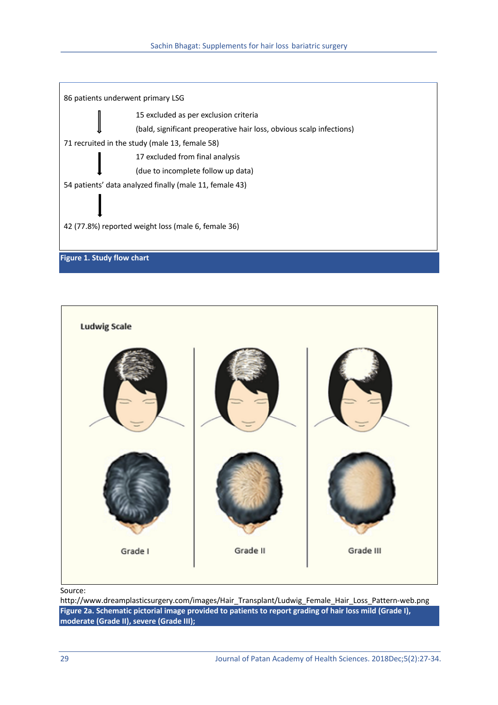



Source:

http://www.dreamplasticsurgery.com/images/Hair\_Transplant/Ludwig\_Female\_Hair\_Loss\_Pattern-web.png **Figure 2a. Schematic pictorial image provided to patients to report grading of hair loss mild (Grade I), moderate (Grade II), severe (Grade III);**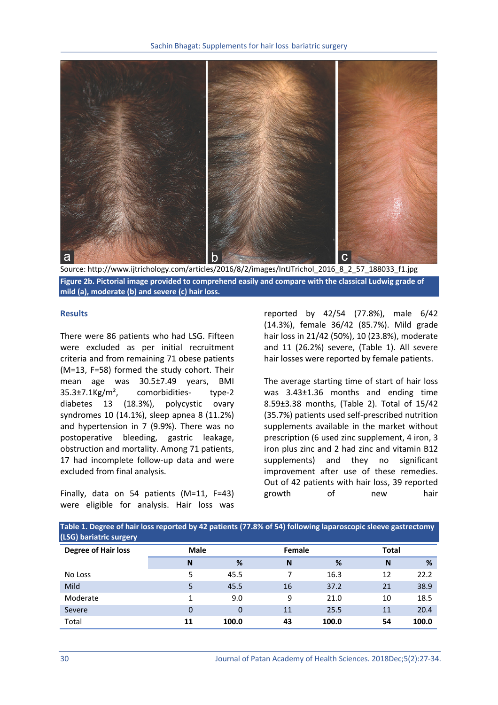

Source: http://www.ijtrichology.com/articles/2016/8/2/images/IntJTrichol\_2016\_8\_2\_57\_188033\_f1.jpg **Figure 2b. Pictorial image provided to comprehend easily and compare with the classical Ludwig grade of mild (a), moderate (b) and severe (c) hair loss.** 

## **Results**

There were 86 patients who had LSG. Fifteen were excluded as per initial recruitment criteria and from remaining 71 obese patients (M=13, F=58) formed the study cohort. Their mean age was 30.5±7.49 years, BMI 35.3±7.1Kg/m², comorbidities- type-2 diabetes 13 (18.3%), polycystic ovary syndromes 10 (14.1%), sleep apnea 8 (11.2%) and hypertension in 7 (9.9%). There was no postoperative bleeding, gastric leakage, obstruction and mortality. Among 71 patients, 17 had incomplete follow-up data and were excluded from final analysis.

Finally, data on 54 patients (M=11, F=43) were eligible for analysis. Hair loss was

reported by 42/54 (77.8%), male 6/42 (14.3%), female 36/42 (85.7%). Mild grade hair loss in 21/42 (50%), 10 (23.8%), moderate and 11 (26.2%) severe, (Table 1). All severe hair losses were reported by female patients.

The average starting time of start of hair loss was 3.43±1.36 months and ending time 8.59±3.38 months, (Table 2). Total of 15/42 (35.7%) patients used self-prescribed nutrition supplements available in the market without prescription (6 used zinc supplement, 4 iron, 3 iron plus zinc and 2 had zinc and vitamin B12 supplements) and they no significant improvement after use of these remedies. Out of 42 patients with hair loss, 39 reported growth of new hair

| Table 1. Degree of hair loss reported by 42 patients (77.8% of 54) following laparoscopic sleeve gastrectomy |  |
|--------------------------------------------------------------------------------------------------------------|--|
| (LSG) bariatric surgery                                                                                      |  |

| $1 - 9 - 7$                |          |                       |    |       |              |       |
|----------------------------|----------|-----------------------|----|-------|--------------|-------|
| <b>Degree of Hair loss</b> |          | <b>Male</b><br>Female |    |       | <b>Total</b> |       |
|                            | N        | %                     | N  | %     | N            | %     |
| No Loss                    | 5        | 45.5                  |    | 16.3  | 12           | 22.2  |
| Mild                       | 5        | 45.5                  | 16 | 37.2  | 21           | 38.9  |
| Moderate                   |          | 9.0                   | 9  | 21.0  | 10           | 18.5  |
| Severe                     | $\Omega$ | 0                     | 11 | 25.5  | 11           | 20.4  |
| Total                      | 11       | 100.0                 | 43 | 100.0 | 54           | 100.0 |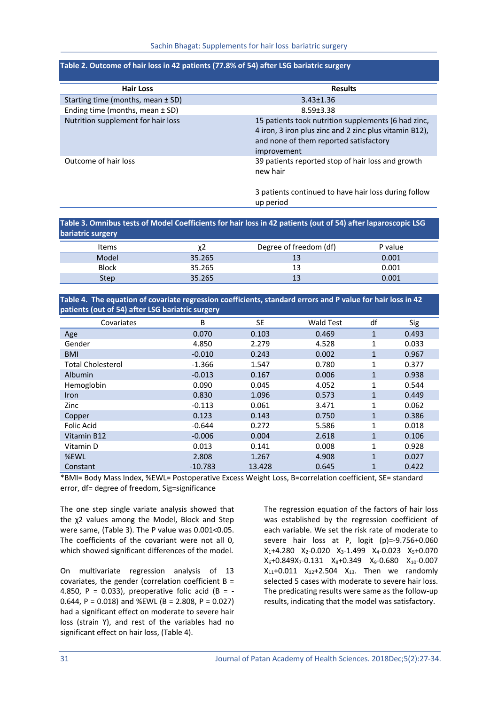## **Table 2. Outcome of hair loss in 42 patients (77.8% of 54) after LSG bariatric surgery**

| <b>Hair Loss</b>                      | <b>Results</b>                                                                                                                                                         |
|---------------------------------------|------------------------------------------------------------------------------------------------------------------------------------------------------------------------|
| Starting time (months, mean $\pm$ SD) | $3.43 \pm 1.36$                                                                                                                                                        |
| Ending time (months, mean $\pm$ SD)   | $8.59 \pm 3.38$                                                                                                                                                        |
| Nutrition supplement for hair loss    | 15 patients took nutrition supplements (6 had zinc,<br>4 iron, 3 iron plus zinc and 2 zinc plus vitamin B12),<br>and none of them reported satisfactory<br>improvement |
| Outcome of hair loss                  | 39 patients reported stop of hair loss and growth<br>new hair                                                                                                          |
|                                       | 3 patients continued to have hair loss during follow                                                                                                                   |

up period

## **Table 3. Omnibus tests of Model Coefficients for hair loss in 42 patients (out of 54) after laparoscopic LSG bariatric surgery**

| <b>Items</b> | л-     | Degree of freedom (df) | P value |
|--------------|--------|------------------------|---------|
| Model        | 35.265 |                        | 0.001   |
| <b>Block</b> | 35.265 |                        | 0.001   |
| <b>Step</b>  | 35.265 |                        | 0.001   |

## **Table 4. The equation of covariate regression coefficients, standard errors and P value for hair loss in 42 patients (out of 54) after LSG bariatric surgery**

| Covariates               | B         | <b>SE</b> | <b>Wald Test</b> | df           | Sig   |
|--------------------------|-----------|-----------|------------------|--------------|-------|
| Age                      | 0.070     | 0.103     | 0.469            | $\mathbf{1}$ | 0.493 |
| Gender                   | 4.850     | 2.279     | 4.528            | 1            | 0.033 |
| <b>BMI</b>               | $-0.010$  | 0.243     | 0.002            | $\mathbf{1}$ | 0.967 |
| <b>Total Cholesterol</b> | $-1.366$  | 1.547     | 0.780            | 1            | 0.377 |
| Albumin                  | $-0.013$  | 0.167     | 0.006            | $\mathbf{1}$ | 0.938 |
| Hemoglobin               | 0.090     | 0.045     | 4.052            | 1            | 0.544 |
| Iron                     | 0.830     | 1.096     | 0.573            | 1            | 0.449 |
| Zinc                     | $-0.113$  | 0.061     | 3.471            | 1            | 0.062 |
| Copper                   | 0.123     | 0.143     | 0.750            | $\mathbf{1}$ | 0.386 |
| <b>Folic Acid</b>        | $-0.644$  | 0.272     | 5.586            | 1            | 0.018 |
| Vitamin B12              | $-0.006$  | 0.004     | 2.618            | $\mathbf{1}$ | 0.106 |
| Vitamin D                | 0.013     | 0.141     | 0.008            | 1            | 0.928 |
| %EWL                     | 2.808     | 1.267     | 4.908            | $\mathbf{1}$ | 0.027 |
| Constant                 | $-10.783$ | 13.428    | 0.645            | 1            | 0.422 |

\*BMI= Body Mass Index, %EWL= Postoperative Excess Weight Loss, B=correlation coefficient, SE= standard error, df= degree of freedom, Sig=significance

The one step single variate analysis showed that the χ2 values among the Model, Block and Step were same, (Table 3). The P value was 0.001<0.05. The coefficients of the covariant were not all 0, which showed significant differences of the model.

On multivariate regression analysis of 13 covariates, the gender (correlation coefficient  $B =$ 4.850, P = 0.033), preoperative folic acid (B = -0.644, P = 0.018) and %EWL (B = 2.808, P = 0.027) had a significant effect on moderate to severe hair loss (strain Y), and rest of the variables had no significant effect on hair loss, (Table 4).

The regression equation of the factors of hair loss was established by the regression coefficient of each variable. We set the risk rate of moderate to severe hair loss at P, logit (p)=-9.756+0.060  $X_1+4.280$   $X_2-0.020$   $X_3-1.499$   $X_4-0.023$   $X_5+0.070$  $X_6 + 0.849X_7 - 0.131$   $X_8 + 0.349$   $X_9 - 0.680$   $X_{10} - 0.007$  $X_{11}$ +0.011  $X_{12}$ +2.504  $X_{13}$ . Then we randomly selected 5 cases with moderate to severe hair loss. The predicating results were same as the follow-up results, indicating that the model was satisfactory.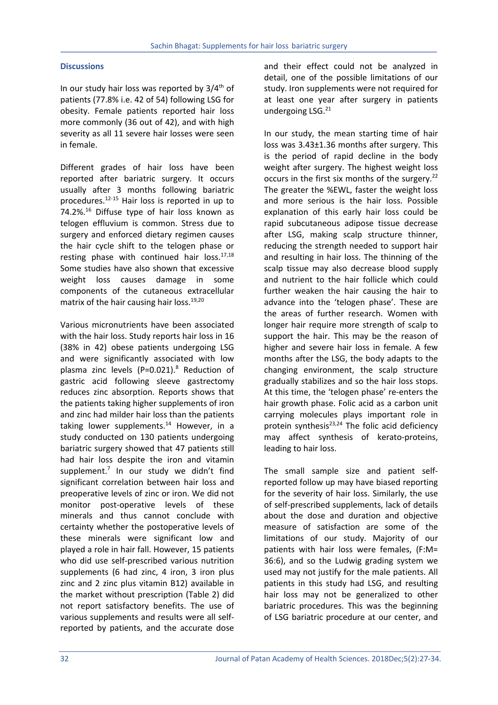# **Discussions**

In our study hair loss was reported by  $3/4<sup>th</sup>$  of patients (77.8% i.e. 42 of 54) following LSG for obesity. Female patients reported hair loss more commonly (36 out of 42), and with high severity as all 11 severe hair losses were seen in female.

Different grades of hair loss have been reported after bariatric surgery. It occurs usually after 3 months following bariatric procedures. 12-15 Hair loss is reported in up to 74.2%. <sup>16</sup> Diffuse type of hair loss known as telogen effluvium is common. Stress due to surgery and enforced dietary regimen causes the hair cycle shift to the telogen phase or resting phase with continued hair loss.<sup>17,18</sup> Some studies have also shown that excessive weight loss causes damage in some components of the cutaneous extracellular matrix of the hair causing hair loss. 19,20

Various micronutrients have been associated with the hair loss. Study reports hair loss in 16 (38% in 42) obese patients undergoing LSG and were significantly associated with low plasma zinc levels (P=0.021).<sup>8</sup> Reduction of gastric acid following sleeve gastrectomy reduces zinc absorption. Reports shows that the patients taking higher supplements of iron and zinc had milder hair loss than the patients taking lower supplements. $14$  However, in a study conducted on 130 patients undergoing bariatric surgery showed that 47 patients still had hair loss despite the iron and vitamin supplement.<sup>7</sup> In our study we didn't find significant correlation between hair loss and preoperative levels of zinc or iron. We did not monitor post-operative levels of these minerals and thus cannot conclude with certainty whether the postoperative levels of these minerals were significant low and played a role in hair fall. However, 15 patients who did use self-prescribed various nutrition supplements (6 had zinc, 4 iron, 3 iron plus zinc and 2 zinc plus vitamin B12) available in the market without prescription (Table 2) did not report satisfactory benefits. The use of various supplements and results were all selfreported by patients, and the accurate dose

and their effect could not be analyzed in detail, one of the possible limitations of our study. Iron supplements were not required for at least one year after surgery in patients undergoing LSG.<sup>21</sup>

In our study, the mean starting time of hair loss was 3.43±1.36 months after surgery. This is the period of rapid decline in the body weight after surgery. The highest weight loss occurs in the first six months of the surgery.<sup>22</sup> The greater the %EWL, faster the weight loss and more serious is the hair loss. Possible explanation of this early hair loss could be rapid subcutaneous adipose tissue decrease after LSG, making scalp structure thinner, reducing the strength needed to support hair and resulting in hair loss. The thinning of the scalp tissue may also decrease blood supply and nutrient to the hair follicle which could further weaken the hair causing the hair to advance into the 'telogen phase'. These are the areas of further research. Women with longer hair require more strength of scalp to support the hair. This may be the reason of higher and severe hair loss in female. A few months after the LSG, the body adapts to the changing environment, the scalp structure gradually stabilizes and so the hair loss stops. At this time, the 'telogen phase' re-enters the hair growth phase. Folic acid as a carbon unit carrying molecules plays important role in protein synthesis $2^{3,24}$  The folic acid deficiency may affect synthesis of kerato-proteins, leading to hair loss.

The small sample size and patient selfreported follow up may have biased reporting for the severity of hair loss. Similarly, the use of self-prescribed supplements, lack of details about the dose and duration and objective measure of satisfaction are some of the limitations of our study. Majority of our patients with hair loss were females, (F:M= 36:6), and so the Ludwig grading system we used may not justify for the male patients. All patients in this study had LSG, and resulting hair loss may not be generalized to other bariatric procedures. This was the beginning of LSG bariatric procedure at our center, and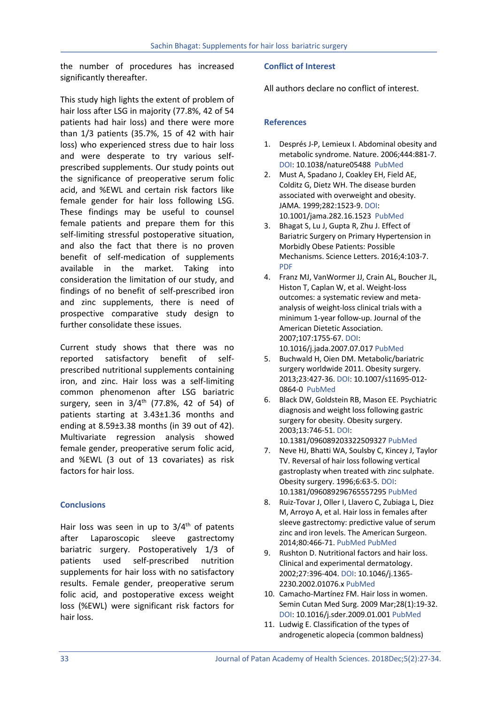the number of procedures has increased significantly thereafter.

This study high lights the extent of problem of hair loss after LSG in majority (77.8%, 42 of 54 patients had hair loss) and there were more than 1/3 patients (35.7%, 15 of 42 with hair loss) who experienced stress due to hair loss and were desperate to try various selfprescribed supplements. Our study points out the significance of preoperative serum folic acid, and %EWL and certain risk factors like female gender for hair loss following LSG. These findings may be useful to counsel female patients and prepare them for this self-limiting stressful postoperative situation, and also the fact that there is no proven benefit of self-medication of supplements available in the market. Taking into consideration the limitation of our study, and findings of no benefit of self-prescribed iron and zinc supplements, there is need of prospective comparative study design to further consolidate these issues.

Current study shows that there was no reported satisfactory benefit of selfprescribed nutritional supplements containing iron, and zinc. Hair loss was a self-limiting common phenomenon after LSG bariatric surgery, seen in  $3/4^{\text{th}}$  (77.8%, 42 of 54) of patients starting at 3.43±1.36 months and ending at 8.59±3.38 months (in 39 out of 42). Multivariate regression analysis showed female gender, preoperative serum folic acid, and %EWL (3 out of 13 covariates) as risk factors for hair loss.

# **Conclusions**

Hair loss was seen in up to  $3/4<sup>th</sup>$  of patents after Laparoscopic sleeve gastrectomy bariatric surgery. Postoperatively 1/3 of patients used self-prescribed nutrition supplements for hair loss with no satisfactory results. Female gender, preoperative serum folic acid, and postoperative excess weight loss (%EWL) were significant risk factors for hair loss.

# **Conflict of Interest**

All authors declare no conflict of interest.

# **References**

- 1. Després J-P, Lemieux I. Abdominal obesity and metabolic syndrome. Nature. 2006;444:881-7. DOI: 10.1038/nature05488 PubMed
- 2. Must A, Spadano J, Coakley EH, Field AE, Colditz G, Dietz WH. The disease burden associated with overweight and obesity. JAMA. 1999;282:1523-9. DOI: 10.1001/jama.282.16.1523 PubMed
- 3. Bhagat S, Lu J, Gupta R, Zhu J. Effect of Bariatric Surgery on Primary Hypertension in Morbidly Obese Patients: Possible Mechanisms. Science Letters. 2016;4:103-7. PDF
- 4. Franz MJ, VanWormer JJ, Crain AL, Boucher JL, Histon T, Caplan W, et al. Weight-loss outcomes: a systematic review and metaanalysis of weight-loss clinical trials with a minimum 1-year follow-up. Journal of the American Dietetic Association. 2007;107:1755-67. DOI: 10.1016/j.jada.2007.07.017 PubMed
- 5. Buchwald H, Oien DM. Metabolic/bariatric surgery worldwide 2011. Obesity surgery. 2013;23:427-36. DOI: 10.1007/s11695-012- 0864-0 PubMed
- 6. Black DW, Goldstein RB, Mason EE. Psychiatric diagnosis and weight loss following gastric surgery for obesity. Obesity surgery. 2003;13:746-51. DOI: 10.1381/096089203322509327 PubMed
- 7. Neve HJ, Bhatti WA, Soulsby C, Kincey J, Taylor TV. Reversal of hair loss following vertical gastroplasty when treated with zinc sulphate. Obesity surgery. 1996;6:63-5. DOI: 10.1381/096089296765557295 PubMed
- 8. Ruiz-Tovar J, Oller I, Llavero C, Zubiaga L, Diez M, Arroyo A, et al. Hair loss in females after sleeve gastrectomy: predictive value of serum zinc and iron levels. The American Surgeon. 2014;80:466-71. PubMed PubMed
- 9. Rushton D. Nutritional factors and hair loss. Clinical and experimental dermatology. 2002;27:396-404. DOI: 10.1046/j.1365- 2230.2002.01076.x PubMed
- 10. Camacho-Martínez FM. Hair loss in women. Semin Cutan Med Surg. 2009 Mar;28(1):19-32. DOI: 10.1016/j.sder.2009.01.001 PubMed
- 11. Ludwig E. Classification of the types of androgenetic alopecia (common baldness)